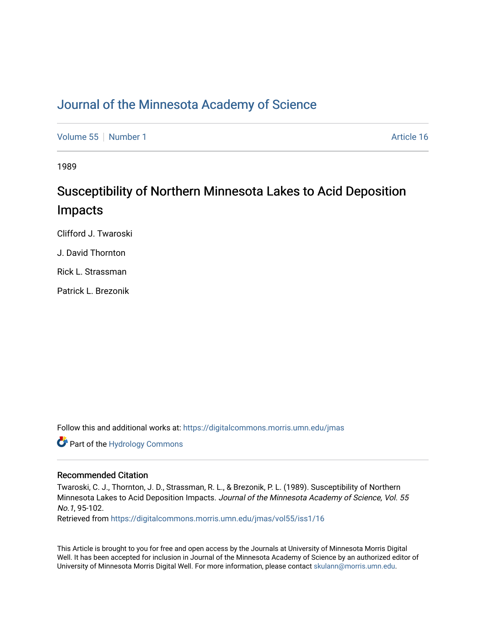### [Journal of the Minnesota Academy of Science](https://digitalcommons.morris.umn.edu/jmas)

[Volume 55](https://digitalcommons.morris.umn.edu/jmas/vol55) [Number 1](https://digitalcommons.morris.umn.edu/jmas/vol55/iss1) Article 16

1989

## Susceptibility of Northern Minnesota Lakes to Acid Deposition Impacts

Clifford J. Twaroski

J. David Thornton

Rick L. Strassman

Patrick L. Brezonik

Follow this and additional works at: [https://digitalcommons.morris.umn.edu/jmas](https://digitalcommons.morris.umn.edu/jmas?utm_source=digitalcommons.morris.umn.edu%2Fjmas%2Fvol55%2Fiss1%2F16&utm_medium=PDF&utm_campaign=PDFCoverPages) 

Part of the [Hydrology Commons](https://network.bepress.com/hgg/discipline/1054?utm_source=digitalcommons.morris.umn.edu%2Fjmas%2Fvol55%2Fiss1%2F16&utm_medium=PDF&utm_campaign=PDFCoverPages) 

#### Recommended Citation

Twaroski, C. J., Thornton, J. D., Strassman, R. L., & Brezonik, P. L. (1989). Susceptibility of Northern Minnesota Lakes to Acid Deposition Impacts. Journal of the Minnesota Academy of Science, Vol. 55 No.1, 95-102.

Retrieved from [https://digitalcommons.morris.umn.edu/jmas/vol55/iss1/16](https://digitalcommons.morris.umn.edu/jmas/vol55/iss1/16?utm_source=digitalcommons.morris.umn.edu%2Fjmas%2Fvol55%2Fiss1%2F16&utm_medium=PDF&utm_campaign=PDFCoverPages) 

This Article is brought to you for free and open access by the Journals at University of Minnesota Morris Digital Well. It has been accepted for inclusion in Journal of the Minnesota Academy of Science by an authorized editor of University of Minnesota Morris Digital Well. For more information, please contact [skulann@morris.umn.edu](mailto:skulann@morris.umn.edu).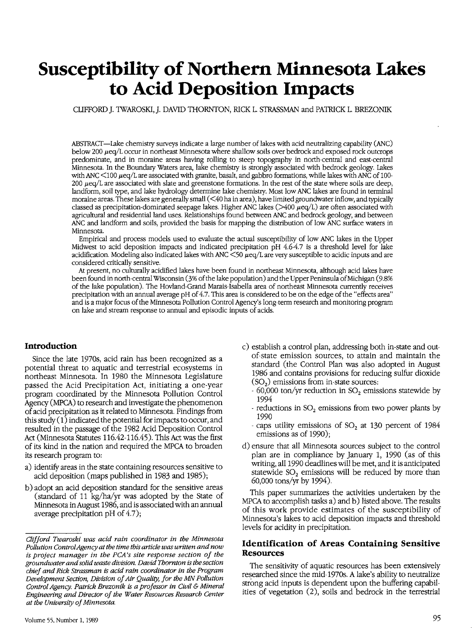# **Susceptibility of Northern Minnesota Lakes to Acid Deposition Impacts**

CLIFFORD J. 1WAROSKI, J. DAVID THORNTON, RICK L. STRASSMAN and PA1RICK L. BREZONIK

ABSTRACT-lake chemistry surveys indicate a large number of lakes with acid neutralizing capability (ANC) below 200 µeq/L occur in northeast Minnesota where shallow soils over bedrock and exposed rock outcrops predominate, and in moraine areas having rolling to steep topography in north-central and east-central Minnesota. In the Boundary Waters area, lake chemistry is strongly associated with bedrock geology. lakes with ANC <100  $\mu$ eq/L are associated with granite, basalt, and gabbro formations, while lakes with ANC of 100-200 µeq/L are associated with slate and greenstone formations. In the rest of the state where soils are deep, landform, soil type, and lake hydrology determine lake chemistry. Most low ANC lakes are found in terminal moraine areas. These lakes are generally small  $(<$ 40 ha in area), have limited groundwater inflow, and typically classed as precipitation-dominated seepage lakes. Higher ANC lakes ( $>400 \mu$ eq/L) are often associated with agricultural and residential land uses. Relationships found between ANC and bedrock geology, and between ANC and landform and soils, provided the basis for mapping the distribution of low ANC surface waters in Minnesota.

Empirical and process models used to evaluate the actual susceptibility of low ANC lakes in the Upper Midwest to acid deposition impacts and indicated precipitation pH 4.6-4.7 is a threshold level for lake acidification. Modeling also indicated lakes with ANC  $\leq$ 50  $\mu$ eq/L are very susceptible to acidic inputs and are considered critically sensitive.

At present, no culturally acidified lakes have been found in northeast Minnesota, although acid lakes have been found in north-central Wisconsin (3% of the lake population) and the Upper Peninsula of Michigan (9.8% of the lake population). The Hovland-Grand Marais-Isabella area of northeast Minnesota currently receives precipitation with an annual average pH of 4.7. This area is considered to be on the edge of the "effects area" and is a major focus of the Minnesota Pollution Control Agency's long-term research and monitoring program on lake and stream response to annual and episodic inputs of acids.

#### **Introduction**

Since the late 1970s, acid rain has been recognized as a potential threat to aquatic and terrestrial ecosystems in northeast Minnesota. In 1980 the Minnesota Legislature passed the Acid Precipitation Act, initiating a one-year program coordinated by the Minnesota Pollution Control Agency (MPCA) to research and investigate the phenomenon of acid precipitation as it related to Minnesota. Findings from this study  $(1)$  indicated the potential for impacts to occur, and resulted in the passage of the 1982 Acid Deposition Control Act (Minnesota Statutes 116.42-116.45). This Act was the first of its kind in the nation and required the MPCA to broaden its research program to:

- a) identify areas in the state containing resources sensitive to acid deposition (maps published in 1983 and 1985);
- b) adopt an acid deposition standard for the sensitive areas (standard of 11 kg/ha/yr was adopted by the State of Minnesota in August 1986, and is associated with an annual average precipitation pH of 4.7);
- c) establish a control plan, addressing both in-state and outof-state emission sources, to attain and maintain the standard ( the Control Plan was also adopted in August 1986 and contains provisions for reducing sulfur dioxide  $(SO<sub>2</sub>)$  emissions from in-state sources:
	- $-60,000$  ton/yr reduction in SO<sub>2</sub> emissions statewide by 1994
	- reductions in  $SO<sub>2</sub>$  emissions from two power plants by 1990
	- caps utility emissions of  $SO<sub>2</sub>$  at 130 percent of 1984 emissions as of 1990);
- d) ensure that all Minnesota sources subject to the control plan are in compliance by January 1, 1990 (as of this writing, all 1990 deadlines will be met, and it is anticipated statewide  $SO<sub>2</sub>$  emissions will be reduced by more than 60,000 tons/yr by 1994).

This paper summarizes the activities undertaken by the MPCA to accomplish tasks  $a)$  and  $b)$  listed above. The results of this work provide estimates of the susceptibility of Minnesota's lakes to acid deposition impacts and threshold levels for acidity in precipitation.

#### **Identification of Areas Containing Sensitive Resources**

The sensitivity of aquatic resources has been extensively researched since the mid-1970s. A lake's ability to neutralize strong acid inputs is dependent upon the buffering capabilities of vegetation (2), soils and bedrock in the terrestrial

*Clifford Twaroski was acid rain coordinator in the Minnesota Pollution ControlAgency at the time this article was written and now is project manager in the PCA's site response section of the groundwater and solid waste division. David Thornton is the section chief and Rick Strassman is acid rain coordinator in the Program Development Section, Division of Air Quality, for the MN Pollution Control Agency. Patrick Brezonik is a professor in Civil* & *Mineral Engineering and Director of the Water Resources Research Center at the University of Minnesota.*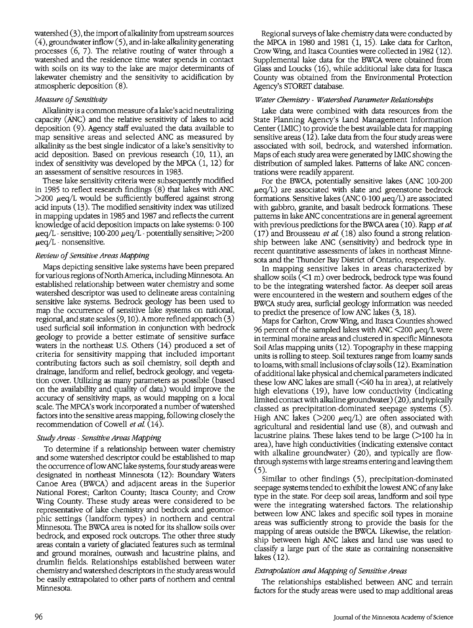watershed  $(3)$ , the import of alkalinity from upstream sources  $(4)$ , groundwater inflow  $(5)$ , and in-lake alkalinity generating processes (6, 7). The relative routing of water through a watershed and the residence time water spends in contact with soils on its way to the lake are major determinants of lakewater chemistry and the sensitivity to acidification by atmospheric deposition (8).

#### *Measure of Sensitivity*

Alkalinity is a common measure ofa lake's acid neutralizing capacity (ANC) and the relative sensitivity of lakes to acid deposition (9). Agency staff evaluated the data available to map sensitive areas and selected ANC as measured by alkalinity as the best single indicator of a lake's sensitivity to acid deposition. Based on previous research (10, 11), an index of sensitivity was developed by the MPCA (1, 12) for an assessment of sensitive resources in 1983.

These lake sensitivity criteria were subsequently modified in 1985 to reflect research findings (8) that lakes with ANC  $>$ 200  $\mu$ eq/L would be sufficiently buffered against strong acid inputs (13). The modified sensitivity index was utilized in mapping updates in 1985 and 1987 and reflects the current knowledge of acid deposition impacts on lake systems: 0-100  $\mu$ eq/L - sensitive; 100-200  $\mu$ eq/L - potentially sensitive;  $>$ 200  $\mu$ eq/L - nonsensitive.

#### *Review of Sensitive Areas Mapping*

Maps depicting sensitive lake systems have been prepared for various regions of North America, including Minnesota. An established relationship between water chemistry and some watershed descriptor was used to delineate areas containing sensitive lake systems. Bedrock geology has been used to map the occurrence of sensitive lake systems on national, regional, and state scales (9, 10).Amore refined approach (3) used surficial soil information in conjunction with bedrock geology to provide a better estimate of sensitive surface waters in the northeast U.S. Others (14) produced a set of criteria for sensitivity mapping that included important contributing factors such as soil chemistry, soil depth and drainage, landform and relief, bedrock geology, and vegetation cover. Utilizing as many parameters as possible (based on the availability and quality of data) would improve the accuracy of sensitivity maps, as would mapping on a local scale. The MPCA's work incorporated a number of watershed factors into the sensitive areas mapping, following closely the recommendation of Cowell *et al* ( 14).

#### *Study Areas* - *Sensitive Areas Mapping*

To determine if a relationship between water chemistry and some watershed descriptor could be established to map the occurrence oflow ANC lake systems, four study areas were designated in northeast Minnesota (12): Boundary Waters Canoe Area (BWCA) and adjacent areas in the Superior National Forest; Carlton County; Itasca County; and Crow Wing County. These study areas were considered to be representative of lake chemistry and bedrock and geomorphic settings (landform types) in northern and central Minnesota. The BWCA area is noted for its shallow soils over bedrock, and exposed rock outcrops. The other three study areas contain a variety of glaciated features such as terminal and ground moraines, outwash and lacustrine plains, and drumlin fields. Relationships established between water chemistry and watershed descriptors in the study areas would be easily extrapolated to other parts of northern and central Minnesota.

Regional surveys of lake chemistry data were conducted by the MPCA in 1980 and 1981 (1, 15). Lake data for Carlton, Crow Wing, and Itasca Counties were collected in 1982 (12). Supplemental lake data for the BWCA were obtained from Glass and Loucks (16), while additional lake data for Itasca County was obtained from the Environmental Protection Agency's STORET database.

#### *Water Chemistry* - *Watershed Parameter Relationships*

Lake data were combined with data resources from the State Planning Agency's Land Management Information Center (LMIC) to provide the best available data for mapping sensitive areas  $(12)$ . Lake data from the four study areas were associated with soil, bedrock, and watershed information. Maps of each study area were generated by LMIC showing the distribution of sampled lakes. Patterns of lake ANC concentrations were readily apparent.

For the BWCA, potentially sensitive lakes (ANC 100-200 µeq/L) are associated with slate and greenstone bedrock formations. Sensitive lakes (ANC 0-100  $\mu$ eq/L) are associated with gabbro, granite, and basalt bedrock formations. These patterns in lake ANC concentrations are in general agreement with previous predictions for the BWCA area ( 10 ). Rapp *et al.*  (17) and Brousseau *et al* (18) also found a strong relationship between lake ANC (sensitivity) and bedrock type in recent quantitative assessments of lakes in northeast Minnesota and the Thunder Bay District of Ontario, respectively.

In mapping sensitive lakes in areas characterized by shallow soils  $(\leq 1 \text{ m})$  over bedrock, bedrock type was found to be the integrating watershed factor. As deeper soil areas were encountered in the western and southern edges of the BWCA study area, surficial geology information was needed to predict the presence of low ANC lakes (3, 18).

Maps for Carlton, Crow Wing, and Itasca Counties showed 96 percent of the sampled lakes with ANC  $\leq$ 200  $\mu$ eq/L were in terminal moraine areas and clustered in specific Minnesota Soil Atlas mapping units (12). Topography in these mapping units is rolling to steep. Soil textures range from loamy sands to loams, with small inclusions of clay soils ( 12). Examination of additional lake physical and chemical parameters indicated these low ANC lakes are small  $( $40$  ha in area), at relatively$ high elevations (19), have low conductivity (indicating limited contact with alkaline groundwater) ( 20), and typically classed as precipitation-dominated seepage systems (5). High ANC lakes ( $>200 \mu$ eq/L) are often associated with agricultural and residential land use (8), and outwash and lacustrine plains. These lakes tend to be large  $(>100$  ha in area), have high conductivities (indicating extensive contact with alkaline groundwater) (20), and typically are flowthrough systems with large streams entering and leaving them (5).

Similar to other findings (5), precipitation-dominated seepage systems tended to exhibit the lowest ANC of any lake type in the state. For deep soil areas, landform and soil type were the integrating watershed factors. The relationship between low ANC lakes and specific soil types in moraine areas was sufficiently strong to provide the basis for the mapping of areas outside the BWCA. Likewise, the relationship between high ANC lakes and land use was used to classify a large part of the state as containing nonsensitive lakes (12).

#### *Extrapolation and Mapping of Sensitive Areas*

The relationships established between ANC and terrain factors for the study areas were used to map additional areas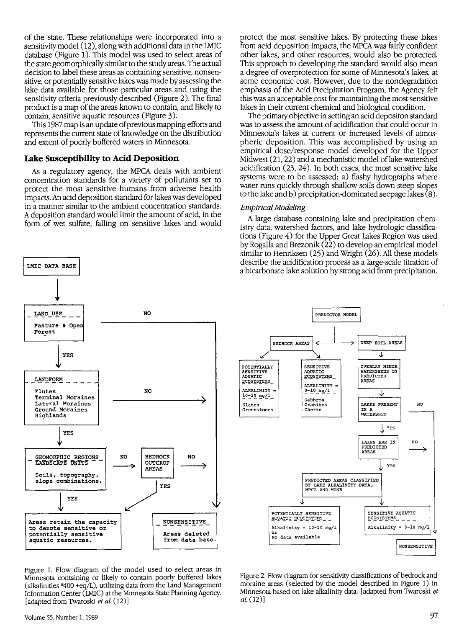of the state. These relationships were incorporated into a sensitivity model ( 12), along with additional data in the IMIC database (Figure 1). This model was used to select areas of the state geomorphically similar to the study areas. The actual decision to label these areas as containing sensitive, nonsensitive, or potentially sensitive lakes was made by assessing the lake data available for those particular areas and using the sensitivity criteria previously described (Figure 2). The final product is a map of the areas known to contain, and likely to contain, sensitive aquatic resources (Figure 3).

This 1987 map is an update of previous mapping efforts and represents the current state of knowledge on the distribution and extent of poorly buffered waters in Minnesota.

#### **Lake Susceptibility to Acid Deposition**

As a regulatory agency, the MPCA deals with ambient concentration standards for a variety of pollutants set to protect the most sensitive humans from adverse health impacts. An acid deposition standard for lakes was developed in a manner similar to the ambient concentration standards. A deposition standard would limit the amount of acid, in the form of wet sulfate, falling on sensitive lakes and would

**LMIC DATA BASE l NO**  LAND USE **Pasture** & **Oper Forest YES LANDFORM** ----------- **Flutes**  NO **Terminal Moraines Lateral Moraines Ground Moraines Highlands**  YES  $\longrightarrow$   $\left| \begin{array}{c} \text{REDI} \\ \text{OUTC} \\ \text{AREI} \end{array} \right|$ GEOMORPHIC REGIONS | NO BEDROCK NO OUTCROP ) AREAS Soils, topography, alone combinations.<br>
YES<br>
YES<br>
YES Soils, topography,<br>slope combinations  $\begin{array}{ccc} \downarrow & \downarrow & \downarrow & \downarrow \ \hline & \downarrow & \downarrow & \downarrow \end{array}$ Areas retain the capacity NONSENSITIVE to denote sensitive or potentially sensitive Areas deleted from data base aquatic resources.

Figure 1. Flow diagram of the model used to select areas in Minnesota containing or likely to contain poorly buffered lakes (alkalinities  $6400 + eq/L$ ), utilizing data from the Land Management Information Center (LMIC) at the Minnesota State Planning Agency. [adapted from Twaroski *et al* (12)]

The primary objective in setting an acid depositon standard was to assess the amount of acidification that could occur in Minnesota's lakes at current or increased levels of atmospheric deposition. This was accomplished by using an empirical dose/response model developed for the Upper Midwest (21, 22) and a mechanistic model of lake-watershed acidification (23, 24). In both cases, the most sensitive lake systems were to be assessed: a) flashy hydrographs where water runs quickly through shallow soils down steep slopes to the lake and b) precipitation-dominated seepage lakes  $(8)$ .

#### *Empirical Modeling*

A large database containing lake and precipitation chemistry data, watershed factors, and lake hydrologic classifications (Figure 4) for the Upper Great Lakes Region was used by Rogalla and Brezonik (22) to develop an empirical model similar to Henriksen (25) and Wright (26). All these models describe the acidification process as a large-scale titration of a bicarbonate lake solution by strong acid from precipitation.



Figure 2. Flow diagram for sensitivity classifications of bedrock and moraine areas (selected by the model described in Figure 1) in Minnesota based on lake alkalinity data. [adapted from Twaroski *et al* (12)]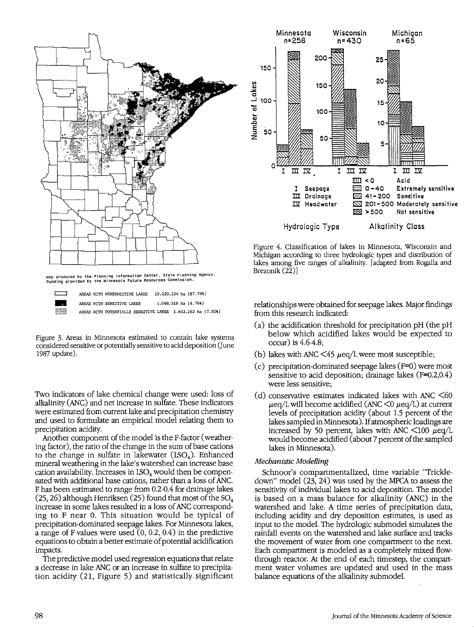

Figure 3. Areas in Minnesota estimated to contain lake systems considered sensitive or potentially sensitive to acid deposition (June 1987 update).

Two indicators of lake chemical change were used: loss of alkalinity (ANC) and net increase in sulfate. These indicators were estimated from current lake and precipitation chemistry and used to formulate an empirical model relating them to precipitation acidity.

Another component of the model is the F-factor ( weathering factor), the ratio of the change in the sum of base cations to the change in sulfate in lakewater  $(LSO<sub>4</sub>)$ . Enhanced mineral weathering in the lake's watershed can increase base cation availability. Increases in  $ISO<sub>4</sub>$  would then be compensated with additional base cations, rather than a loss of ANC. F has been estimated to range from 0.2-0.4 for drainage lakes (25, 26) although Henriksen (25) found that most of the  $SO_4$ increase in some lakes resulted in a loss of ANC corresponding to F near 0, This situation would be typical of precipitation-dominated seepage lakes. For Minnesota lakes, a range of F values were used (0, 0.2, 0.4) in the predictive equations to obtain a better estimate of potential acidification impacts.

The predictive model used regression equations that relate a decrease in lake ANC or an increase in sulfate to precipitation acidity (21, Figure 5) and statistically significant



Figure 4. Classification of lakes in Minnesota, Wisconsin and Michigan according to three hydrologic types and distribution of lakes among five ranges of alkalinity. [adapted from Rogalla and Brezonik (22)]

relationships were obtained for seepage lakes. Major findings from this research indicated:

- (a) the acidification threshold for precipitation pH (the pH below which acidified lakes would be expected to occur) is 4.6-4.8;
- (b) lakes with ANC  $\leq 45 \mu$ eq/L were most susceptible;
- (c) precipitation-dominated seepage lakes (F=0) were most sensitive to acid deposition; drainage lakes (F=0.2,0.4) were less sensitive;
- (d) conservative estimates indicated lakes with ANC  $\leq 60$  $\mu$ eq/L will become acidified (ANC  $\lt$ 0  $\mu$ eq/L) at current levels of precipitation acidity (about 1.5 percent of the lakes sampled in Minnesota). If atmospheric loadings are increased by 50 percent, lakes with ANC  $\lt$ 100  $\mu$ eq/L would become acidified (about 7 percent of the sampled lakes in Minnesota).

#### *Mechanistic Modelling*

Schnoor's compartmentalized, time variable "Trickledown" model (23, 24) was used by the MPCA to assess the sensitivity of individual lakes to acid deposition. The model is based on a mass balance for alkalinity (ANC) in the watershed and lake. A time series of precipitation data, including acidity and dry deposition estimates, is used as input to the model. The hydrologic submodel simulates the rainfall events on the watershed and lake surface and tracks the movement of water from one compartment to the next. Each compartment is modeled as a completely mixed flowthrough reactor. At the end of each timestep, the compartment water volumes are updated and used in the mass balance equations of the alkalinity submode!.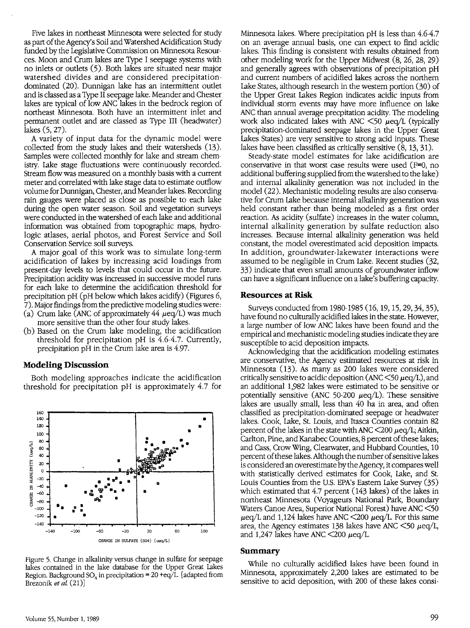Five lakes in northeast Minnesota were selected for study as part of the Agency's Soil and Watershed Acidification Study funded by the Legislative Commission on Minnesota Resources. Moon and Crum lakes are Type I seepage systems with no inlets or outlets (5). Both lakes are situated near major watershed divides and are considered precipitationdominated (20). Dunnigan lake has an intermittent outlet and is classed as a Type II seepage lake. Meander and Chester lakes are typical of low ANC lakes in the bedrock region of northeast Minnesota. Both have an intermittent inlet and permanent outlet and are classed as Type III (headwater) lakes (5, 27).

A variety of input data for the dynamic model were collected from the study lakes and their watersheds (13). Samples were collected monthly for lake and stream chemistry. lake stage fluctuations were continuously recorded. Stream flow was measured on a monthly basis with a current meter and correlated with lake stage data to estimate outflow volume for Dunnigan, Chester, and Meander lakes. Recording rain gauges were placed as close as possible to each lake during the open water season. Soil and vegetation surveys were conducted in the watershed of each lake and additional information was obtained from topographic maps, hydrologic atlases, aerial photos, and Forest Service and Soil Conservation Service soil surveys.

A major goal of this work was to simulate long-term acidification of lakes by increasing acid loadings from present-day levels to levels that could occur in the future. Precipitation acidity was increased in successive model runs for each lake to determine the acidification threshold for precipitation pH (pH below which lakes acidify) (Figures 6, 7). Major findings from the predictive modeling studies were:

- (a) Crum lake (ANC of approximately 44  $\mu$ eq/L) was much more sensitive than the other four study lakes.
- (b) Based on the Crum lake modeling, the acidification threshold for precipitation pH is 4.6-4.7. Currently, precipitation pH in the Crum lake area is 4.97.

#### **Modeling Discussion**

Both modeling approaches indicate the acidification threshold for precipitation pH is approximately 4.7 for



Figure 5. Change in alkalinity versus change in sulfate for seepage lakes contained in the lake database for the Upper Great lakes Region. Background SO<sub>4</sub> in precipitation = 20 +eq/L. [adapted from Brezonik et al. (21)]

Minnesota lakes. Where precipitation pH is less than 4.6-4.7 on an average annual basis, one can expect to find acidic lakes. This finding is consistent with results obtained from other modeling work for the Upper Midwest (8, 26, 28, 29) and generally agrees with observations of precipitation pH and current numbers of acidified lakes across the northern lake States, although research in the western portion (30) of the Upper Great Lakes Region indicates acidic inputs from individual storm events may have more influence on lake ANC than annual average precpitation acidity. The modeling work also indicated lakes with ANC  $\leq 50$   $\mu$ eq/L (typically precipitation-dominated seepage lakes in the Upper Great lakes States) are very sensitive to strong acid inputs. These lakes have been classified as critically sensitive (8, 13, 31).

Steady-state model estimates for lake acidification are conservative in that worst case results were used  $(F=0, no$ additional buffering supplied from the watershed to the lake) and internal alkalinity generation was not included in the model (22). Mechanistic modeling results are also conservative for Crum lake because internal alkalinity generation was held constant rather than being modeled as a first order reaction. As acidity (sulfate) increases in the water column, internal alkalinity generation by sulfate reduction also increases. Because internal alkalinity generation was held constant, the model overestimated acid deposition impacts. In addition, groundwater-lakewater interactions were assumed to be negligible in Crum lake. Recent studies (32, 33) indicate that even small amounts of groundwater inflow can have a significant influence on a lake's buffering capacity.

#### **Resources at Risk**

Surveys conducted from 1980-1985 (16, 19, 15, 29, 34, 35), have found no culturally acidified lakes in the state. However, a large number of low ANC lakes have been found and the empirical and mechanistic modeling studies indicate they are susceptible to acid deposition impacts.

Acknowledging that the acidification modeling estimates are conservative, the Agency estimated resources at risk in Minnesota (13). As many as 200 lakes were considered critically sensitive to acidic deposition (ANC  $\leq$  50  $\mu$ eq/L), and an additional 1,982 lakes were estimated to be sensitive or potentially sensitive (ANC 50-200  $\mu$ eq/L). These sensitive lakes are usually small, less than 40 ha in area, and often classified as precipitation-dominated seepage or headwater lakes. Cook, lake, St. Louis, and Itasca Counties contain 82 percent of the lakes in the state with ANC  $\leq$ 200  $\mu$ eq/L; Aitkin, Carlton, Pine, and Kanabec Counties, 8 percent of these lakes; and Cass, Crow Wing, Clearwater, and Hubbard Counties, 10 percent of these lakes. Although the number of sensitive lakes is considered an overestimate by the Agency, it compares well with statistically derived estimates for Cook, Lake, and St. Louis Counties from the U.S. EPA's Eastern lake Survey (35) which estimated that 4.7 percent (143 lakes) of the lakes in northeast Minnesota (Voyageurs National Park, Boundary Waters Canoe Area, Superior National Forest) have ANC <SO  $\mu$ eq/L and 1,124 lakes have ANC  $\leq$ 200  $\mu$ eq/L. For this same area, the Agency estimates 138 lakes have ANC  $\leq$ 50  $\mu$ eq/L, and 1,247 lakes have ANC  $\lt$ 200  $\mu$ eq/L.

#### **Summary**

While no culturally acidified lakes have been found in Minnesota, approximately 2,200 lakes are estimated to be sensitive to acid deposition, with 200 of these lakes consi-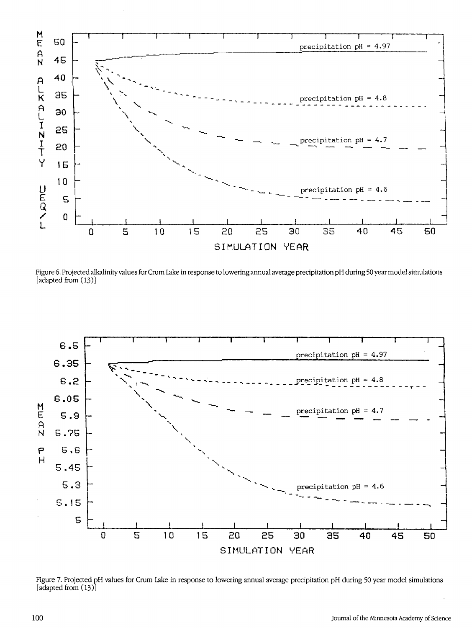

Figure 6. Projected alkalinity values for Crum Lake in response to lowering annual average precipitation pH during 50year model simulations [adapted from (13)]



Figure 7. Projected pH values for Crum Lake in response to lowering annual average precipitation pH during 50 year model simulations [adapted from  $(13)$ ]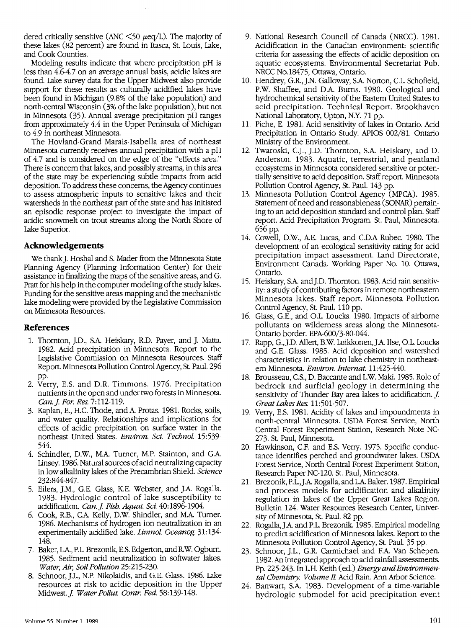dered critically sensitive (ANC  $\leq$ 50  $\mu$ eq/L). The majority of these lakes (82 percent) are found in Itasca, St. Louis, lake, and Cook Counties.

Modeling results indicate that where precipitation pH is less than 4.6-4.7 on an average annual basis, acidic lakes are found. Lake survey data for the Upper Midwest also provide support for these results as culturally acidified lakes have been found in Michigan (9.8% of the lake population) and north-central Wisconsin (3% of the lake population), but not in Minnesota (35). Annual average precipitation pH ranges from approximately 4.4 in the Upper Peninsula of Michigan to 4.9 in northeast Minnesota.

The Hovland-Grand Marais-Isabella area of northeast Minnesota currently receives annual precipitation with a pH of 4.7 and is considered on the edge of the "effects area." There is concern that lakes, and possibly streams, in this area of the state may be experiencing subtle impacts from acid deposition. To address these concerns, the Agency continues to assess atmospheric inputs to sensitive lakes and their watersheds in the northeast part of the state and has initiated an episodic response project to investigate the impact of acidic snowmelt on trout streams along the North Shore of Lake Superior.

#### **Acknowledgements**

We thank]. Hoshal and S. Mader from the Minnesota State Planning Agency (Planning Information Center) for their assistance in finalizing the maps of the sensitive areas, and G. Pratt for his help in the computer modeling of the study lakes. Funding for the sensitive areas mapping and the mechanistic lake modeling were provided by the Legislative Commission on Minnesota Resources.

#### **References**

- 1. Thornton, JD., S.A Heiskary, R.D. Payer, and J. Matta. 1982. Acid precipitation in Minnesota. Report to the Legislative Commission on Minnesota Resources. Staff Report. Minnesota Pollution Control Agency, St. Paul. 296 pp.
- 2. Verry, E.S. and D.R. Timmons. 1976. Precipitation nutrients in the open and under two forests in Minnesota. *Can.] For. Res.* 7:112-119.
- 3. Kaplan, E., H.C. Thode, and A Protas. 1981. Rocks, soils, and water quality. Relationships and implications for effects of acidic precipitation on surface water in the northeast United States. *Environ. Sci. Technol.* 15:539- 544.
- 4. Schindler, D.W., M.A Turner, M.P. Stainton, and G.A Llnsey. 1986. Natural sources of acid neutralizing capacity in low alkalinity lakes of the Precambrian Shield. *Science*  232 :844-847.
- 5. Eilers, J.M., G.E. Glass, KE. Webster, and J.A Rogalla. 1983. Hydrologic control of lake susceptibility to acidification. *Can.] Fish. Aquat. Sci.* 40:1896-1904.
- 6. Cook, R.B., C.A Kelly, D.W. Shindler, and M.A Turner. 1986. Mechanisms of hydrogen ion neutralization in an experimentally acidified lake. *Limnol Oceanog.* 31:134- 148.
- 7. Baker, L.A, P.L. Brezonik, E.S. Edgerton, and R.W. Ogburn. 1985. Sediment acid neutralization in softwater lakes. *Water, Air, Soil Pollution* 25:215-230.
- 8. Schnoor, ].L., N.P. Nikolaidis, and G.E. Glass. 1986. lake resources at risk to acidic deposition in the Upper Midwest. *J. Water Pollut. Contr. Fed.* 58:139-148.
- 9. National Research Council of Canada (NRCC). 1981. Acidification in the Canadian environment: scientific criteria for assessing the effects of acidic deposition on aquatic ecosystems. Environmental Secretariat Pub. NRCC No.18475, Ottawa, Ontario.
- 10. Hendrey, G.R., J.N. Galloway, S.A Norton, C.L. Schofield, P.W. Shaffee, and D.A. Burns. 1980. Geological and hydrochemical sensitivity of the Eastern United States to acid precipitation. Technical Report. Brookhaven National laboratory, Upton, N.Y. 71 pp.
- 11. Piche, E. 1981. Acid sensitivity of lakes in Ontario. Acid Precipitation in Ontario Study. APIOS 002/81. Ontario Ministry of the Environment.
- 12. Twaroski, CJ, JD. Thornton, S.A. Heiskary, and D. Anderson. 1983. Aquatic, terrestrial, and peatland ecosystems in Minnesota considered sensitive or potentially sensitive to acid deposition. Staff report. Minnesota Pollution Control Agency, St. Paul. 143 pp.
- 13. Minnesota Pollution Control Agency (MPCA). 1985. Statement of need and reasonableness (SONAR) pertaining to an acid deposition standard and control plan. Staff report. Acid Precipitation Program. St. Paul, Minnesota. 656 pp.
- 14. Cowell, D.W., AE. Lucas, and C.D.A Rubec. 1980. The development of an ecological sensitivity rating for acid precipitation impact assessment. Land Directorate, Environment Canada. Working Paper No. 10. Ottawa, Ontario.
- 15. Heiskary, S.A and].D. Thornton. 1983. Acid rain sensitivity: a study of contributing factors in remote northeastern Minnesota lakes. Staff report. Minnesota Pollution Control Agency, St. Paul. 110 pp.
- 16. Glass, G.E., and O.L. Loucks. 1980. Impacts of airborne pollutants on wilderness areas along the Minnesota-Ontario border. EPA-600/3-80-044.
- 17. Rapp, G.,].D. Allert, B.W. Luikkonen,J.A Ilse, O.L. Loucks and G.E. Glass. 1985. Acid deposition and watershed characteristics in relation to lake chemistry in northeastern Minnesota. *Environ. Internat.* 11:425-440.
- 18. Brousseau, C.S., D. Baccante and L.W. Maki. 1985. Role of bedrock and surficial geology in determining the sensitivity of Thunder Bay area lakes to acidification. *J. Great Lakes Res.* 11:501-507.
- 19. Verry, E.S. 1981. Acidity of lakes and impoundments in north-central Minnesota. USDA Forest Service, North Central Forest Experiment Station, Research Note NC-273. St. Paul, Minnesota.
- 20. Hawkinson, C.F. and E.S. Verry. 1975. Specific conductance identifies perched and groundwater lakes. USDA Forest Service, North Central Forest Experiment Station, Research Paper NC-120. St. Paul, Minnesota.
- 21. Brezonik, P.L.,J.A Rogalla, and L.A Baker. 1987. Empirical and process models for acidification and alkalinity regulation in lakes of the Upper Great Lakes Region. Bulletin 124. Water Resources Research Center, University of Minnesota, St. Paul. 82 pp.
- 22. Rogalla,J.A and P.L. Brezonik. 1985. Empirical modeling to predict acidification of Minnesota lakes. Report to the Minnesota Pollution Control Agency, St. Paul. 35 pp.
- 23. Schnoor, J.L., G.R. Carmichael and F.A Van Schepen. 1982. An integrated approach to acid rainfall assessments. Pp. 225-243. In L.H. Keith (ed.) *Energy and Environmen*tal Chemistry. Volume II. Acid Rain. Ann Arbor Science.
- 24. Banwart, S.A. 1983. Development of a time-variable hydrologic submode! for acid precipitation event